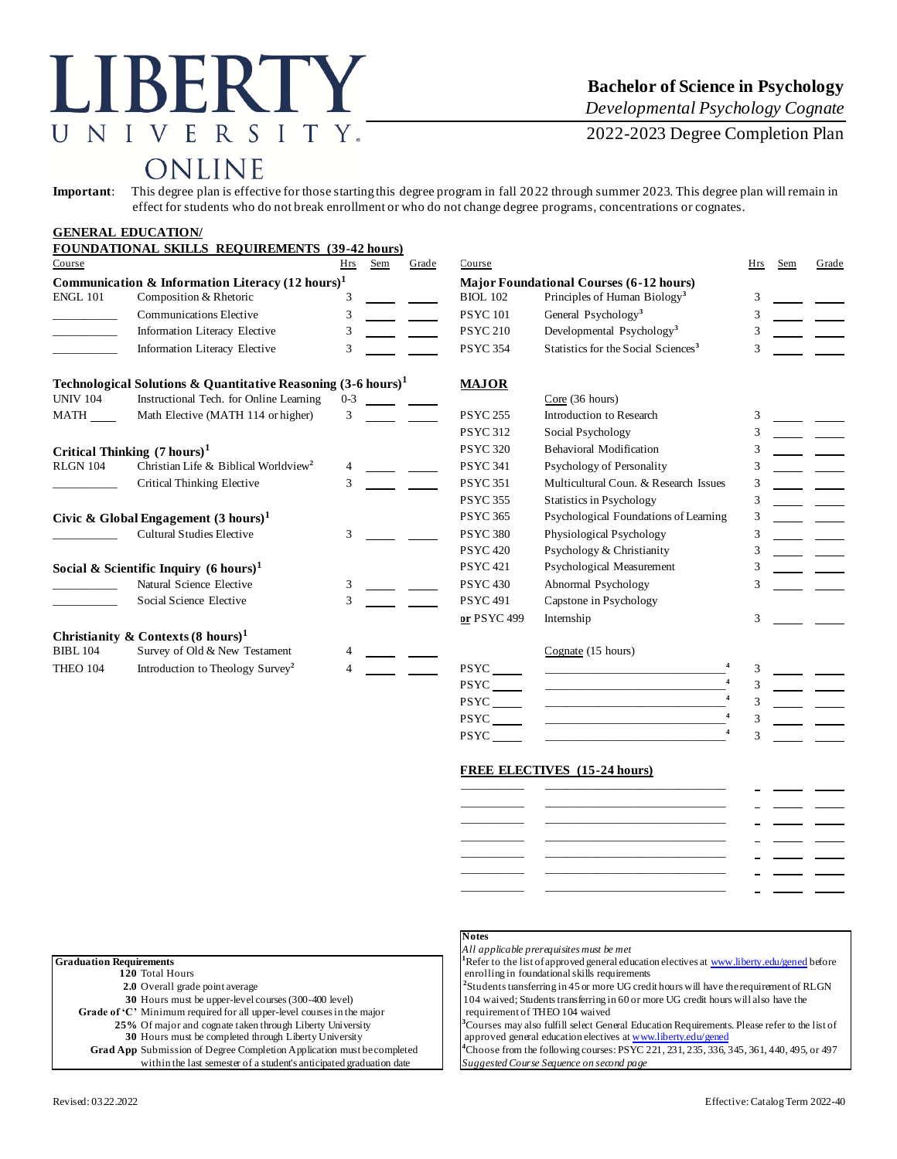# LIBERTY UNIVERSITY.

### **Bachelor of Science in Psychology**

*Developmental Psychology Cognate*

2022-2023 Degree Completion Plan

## ONLINE

**Important**: This degree plan is effective for those starting this degree program in fall 2022 through summer 2023. This degree plan will remain in effect for students who do not break enrollment or who do not change degree programs, concentrations or cognates.

|                                                             | <b>GENERAL EDUCATION/</b>                                                |         |     |                                                |                 |                                                                                                                                                                                    |     |     |       |
|-------------------------------------------------------------|--------------------------------------------------------------------------|---------|-----|------------------------------------------------|-----------------|------------------------------------------------------------------------------------------------------------------------------------------------------------------------------------|-----|-----|-------|
| Course                                                      | <b>FOUNDATIONAL SKILLS REQUIREMENTS (39-42 hours)</b>                    | Hrs     | Sem | Grade                                          | Course          |                                                                                                                                                                                    | Hrs | Sem | Grade |
| Communication & Information Literacy $(12 \text{ hours})^1$ |                                                                          |         |     | <b>Major Foundational Courses (6-12 hours)</b> |                 |                                                                                                                                                                                    |     |     |       |
| <b>ENGL 101</b>                                             | Composition & Rhetoric                                                   | 3       |     |                                                | <b>BIOL 102</b> | Principles of Human Biology <sup>3</sup>                                                                                                                                           |     |     |       |
|                                                             | <b>Communications Elective</b>                                           | 3       |     |                                                | <b>PSYC101</b>  | General Psychology <sup>3</sup>                                                                                                                                                    |     |     |       |
|                                                             | Information Literacy Elective                                            | 3       |     |                                                | <b>PSYC 210</b> | Developmental Psychology <sup>3</sup>                                                                                                                                              |     |     |       |
|                                                             | Information Literacy Elective                                            | 3       |     |                                                | <b>PSYC 354</b> | Statistics for the Social Sciences <sup>3</sup>                                                                                                                                    |     |     |       |
|                                                             | Technological Solutions & Quantitative Reasoning $(3-6 \text{ hours})^1$ |         |     |                                                | <b>MAJOR</b>    |                                                                                                                                                                                    |     |     |       |
| <b>UNIV 104</b>                                             | Instructional Tech. for Online Learning                                  | $0 - 3$ |     |                                                |                 | Core (36 hours)                                                                                                                                                                    |     |     |       |
| MATH                                                        | Math Elective (MATH 114 or higher)                                       | 3       |     |                                                | <b>PSYC 255</b> | Introduction to Research                                                                                                                                                           |     |     |       |
|                                                             |                                                                          |         |     |                                                | <b>PSYC 312</b> | Social Psychology                                                                                                                                                                  |     |     |       |
|                                                             | Critical Thinking $(7 \text{ hours})^1$                                  |         |     |                                                | <b>PSYC 320</b> | <b>Behavioral Modification</b>                                                                                                                                                     | 3   |     |       |
| <b>RLGN 104</b>                                             | Christian Life & Biblical Worldview <sup>2</sup>                         | 4       |     |                                                | <b>PSYC 341</b> | Psychology of Personality                                                                                                                                                          | 3   |     |       |
|                                                             | Critical Thinking Elective                                               | 3       |     |                                                | <b>PSYC 351</b> | Multicultural Coun. & Research Issues                                                                                                                                              | 3   |     |       |
|                                                             |                                                                          |         |     |                                                | <b>PSYC 355</b> | <b>Statistics in Psychology</b>                                                                                                                                                    | 3   |     |       |
|                                                             | Civic & Global Engagement $(3 \text{ hours})^1$                          |         |     |                                                | <b>PSYC 365</b> | Psychological Foundations of Learning                                                                                                                                              | 3   |     |       |
|                                                             | <b>Cultural Studies Elective</b>                                         | 3       |     |                                                | <b>PSYC 380</b> | Physiological Psychology                                                                                                                                                           | 3   |     |       |
|                                                             |                                                                          |         |     |                                                | <b>PSYC 420</b> | Psychology & Christianity                                                                                                                                                          |     |     |       |
| Social & Scientific Inquiry $(6 \text{ hours})^1$           |                                                                          |         |     |                                                | <b>PSYC 421</b> | Psychological Measurement                                                                                                                                                          | 3   |     |       |
|                                                             | Natural Science Elective                                                 | 3       |     |                                                | <b>PSYC 430</b> | Abnormal Psychology                                                                                                                                                                |     |     |       |
|                                                             | Social Science Elective                                                  | 3       |     |                                                | <b>PSYC 491</b> | Capstone in Psychology                                                                                                                                                             |     |     |       |
|                                                             |                                                                          |         |     |                                                | or PSYC 499     | Internship                                                                                                                                                                         |     |     |       |
|                                                             | Christianity & Contexts $(8 \text{ hours})^1$                            |         |     |                                                |                 |                                                                                                                                                                                    |     |     |       |
| <b>BIBL 104</b>                                             | Survey of Old & New Testament                                            |         |     |                                                |                 | Cognate (15 hours)                                                                                                                                                                 |     |     |       |
| <b>THEO 104</b>                                             | Introduction to Theology Survey <sup>2</sup>                             |         |     |                                                | <b>PSYC</b>     | <u> 1989 - Andrea State Barbara, amerikan personal di sebagai personal di sebagai personal di sebagai personal di</u>                                                              |     |     |       |
|                                                             |                                                                          |         |     |                                                | <b>PSYC</b>     | $\begin{aligned} \mathcal{L}_{\text{max}}(\mathcal{L}_{\text{max}}, \mathcal{L}_{\text{max}}) = \mathcal{L}_{\text{max}}(\mathcal{L}_{\text{max}}) \end{aligned} \label{eq:log-1}$ | 3   |     |       |
|                                                             |                                                                          |         |     |                                                | <b>PSYC</b>     | the contract of the contract of the contract of the contract of                                                                                                                    |     |     |       |
|                                                             |                                                                          |         |     |                                                | <b>PSYC</b>     | $\overline{\mathbf{4}}$                                                                                                                                                            | 3   |     |       |

PSYC\_

#### **FREE ELECTIVES (15-24 hours)**

**4** 3

|                                                                               | <b>Notes</b>                                                                                             |
|-------------------------------------------------------------------------------|----------------------------------------------------------------------------------------------------------|
|                                                                               | All applicable prerequisites must be met                                                                 |
| <b>Graduation Requirements</b>                                                | <sup>1</sup> Refer to the list of approved general education electives at www.liberty.edu/gened before   |
| 120 Total Hours                                                               | enrolling in foundational skills requirements                                                            |
| <b>2.0</b> Overall grade point average                                        | <sup>2</sup> Students transferring in 45 or more UG credit hours will have the requirement of RLGN       |
| 30 Hours must be upper-level courses (300-400 level)                          | 104 waived; Students transferring in 60 or more UG credit hours will also have the                       |
| Grade of 'C' Minimum required for all upper-level courses in the major        | requirement of THEO 104 waived                                                                           |
| 25% Of major and cognate taken through Liberty University                     | <sup>3</sup> Courses may also fulfill select General Education Requirements. Please refer to the list of |
| 30 Hours must be completed through Liberty University                         | approved general education electives at www.liberty.edu/gened                                            |
| <b>Grad App</b> Submission of Degree Completion Application must be completed | <sup>4</sup> Choose from the following courses: PSYC 221, 231, 235, 336, 345, 361, 440, 495, or 497      |
| within the last semester of a student's anticipated graduation date           | Suggested Course Sequence on second page                                                                 |